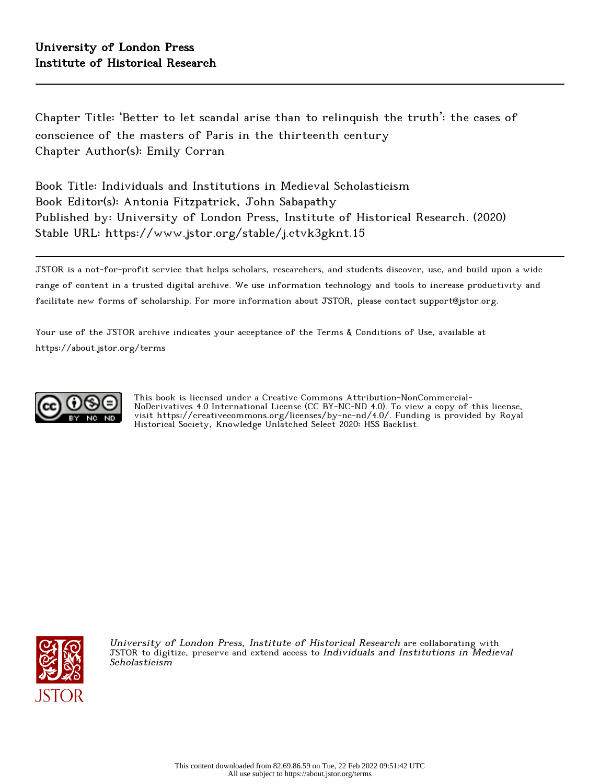Chapter Title: 'Better to let scandal arise than to relinquish the truth': the cases of conscience of the masters of Paris in the thirteenth century Chapter Author(s): Emily Corran

Book Title: Individuals and Institutions in Medieval Scholasticism Book Editor(s): Antonia Fitzpatrick, John Sabapathy Published by: University of London Press, Institute of Historical Research. (2020) Stable URL: https://www.jstor.org/stable/j.ctvk3gknt.15

JSTOR is a not-for-profit service that helps scholars, researchers, and students discover, use, and build upon a wide range of content in a trusted digital archive. We use information technology and tools to increase productivity and facilitate new forms of scholarship. For more information about JSTOR, please contact support@jstor.org.

Your use of the JSTOR archive indicates your acceptance of the Terms & Conditions of Use, available at https://about.jstor.org/terms



This book is licensed under a Creative Commons Attribution-NonCommercial-NoDerivatives 4.0 International License (CC BY-NC-ND 4.0). To view a copy of this license, visit https://creativecommons.org/licenses/by-nc-nd/4.0/. Funding is provided by Royal Historical Society, Knowledge Unlatched Select 2020: HSS Backlist.



University of London Press, Institute of Historical Research are collaborating with JSTOR to digitize, preserve and extend access to Individuals and Institutions in Medieval Scholasticism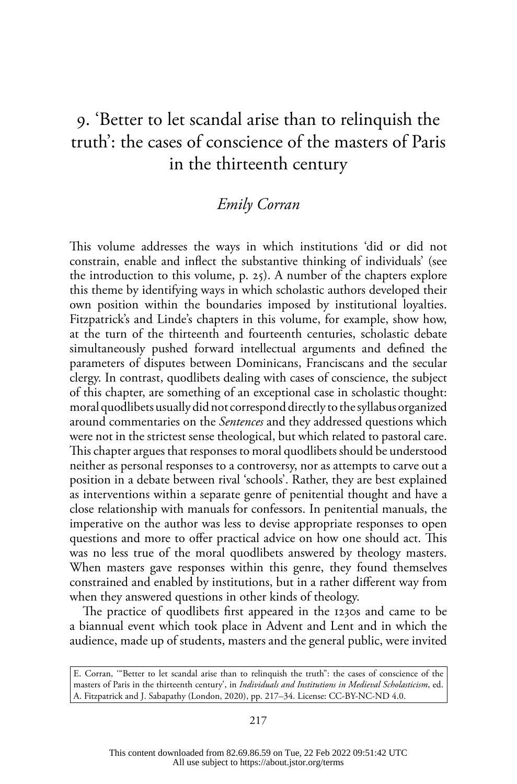# 9. 'Better to let scandal arise than to relinquish the truth': the cases of conscience of the masters of Paris in the thirteenth century

# *Emily Corran*

This volume addresses the ways in which institutions 'did or did not constrain, enable and inflect the substantive thinking of individuals' (see the introduction to this volume, p. 25). A number of the chapters explore this theme by identifying ways in which scholastic authors developed their own position within the boundaries imposed by institutional loyalties. Fitzpatrick's and Linde's chapters in this volume, for example, show how, at the turn of the thirteenth and fourteenth centuries, scholastic debate simultaneously pushed forward intellectual arguments and defined the parameters of disputes between Dominicans, Franciscans and the secular clergy. In contrast, quodlibets dealing with cases of conscience, the subject of this chapter, are something of an exceptional case in scholastic thought: moral quodlibets usually did not correspond directly to the syllabus organized around commentaries on the *Sentences* and they addressed questions which were not in the strictest sense theological, but which related to pastoral care. This chapter argues that responses to moral quodlibets should be understood neither as personal responses to a controversy, nor as attempts to carve out a position in a debate between rival 'schools'. Rather, they are best explained as interventions within a separate genre of penitential thought and have a close relationship with manuals for confessors. In penitential manuals, the imperative on the author was less to devise appropriate responses to open questions and more to offer practical advice on how one should act. This was no less true of the moral quodlibets answered by theology masters. When masters gave responses within this genre, they found themselves constrained and enabled by institutions, but in a rather different way from when they answered questions in other kinds of theology.

The practice of quodlibets first appeared in the 1230s and came to be a biannual event which took place in Advent and Lent and in which the audience, made up of students, masters and the general public, were invited

E. Corran, '"Better to let scandal arise than to relinquish the truth": the cases of conscience of the masters of Paris in the thirteenth century', in *Individuals and Institutions in Medieval Scholasticism*, ed. A. Fitzpatrick and J. Sabapathy (London, 2020), pp. 217–34. License: CC-BY-NC-ND 4.0.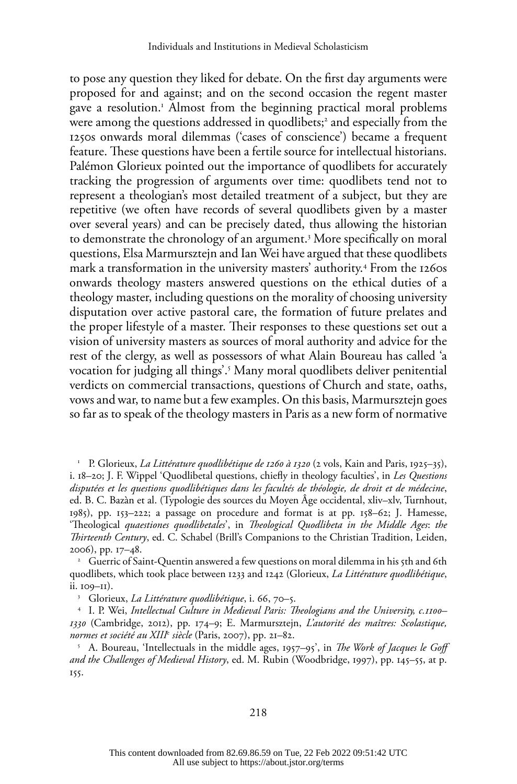to pose any question they liked for debate. On the first day arguments were proposed for and against; and on the second occasion the regent master gave a resolution.1 Almost from the beginning practical moral problems were among the questions addressed in quodlibets; $^{\circ}$  and especially from the 1250s onwards moral dilemmas ('cases of conscience') became a frequent feature. These questions have been a fertile source for intellectual historians. Palémon Glorieux pointed out the importance of quodlibets for accurately tracking the progression of arguments over time: quodlibets tend not to represent a theologian's most detailed treatment of a subject, but they are repetitive (we often have records of several quodlibets given by a master over several years) and can be precisely dated, thus allowing the historian to demonstrate the chronology of an argument.3 More specifically on moral questions, Elsa Marmursztejn and Ian Wei have argued that these quodlibets mark a transformation in the university masters' authority.4 From the 1260s onwards theology masters answered questions on the ethical duties of a theology master, including questions on the morality of choosing university disputation over active pastoral care, the formation of future prelates and the proper lifestyle of a master. Their responses to these questions set out a vision of university masters as sources of moral authority and advice for the rest of the clergy, as well as possessors of what Alain Boureau has called 'a vocation for judging all things'.5 Many moral quodlibets deliver penitential verdicts on commercial transactions, questions of Church and state, oaths, vows and war, to name but a few examples. On this basis, Marmursztejn goes so far as to speak of the theology masters in Paris as a new form of normative

<sup>1</sup> P. Glorieux, *La Littérature quodlibétique de 1260 à 1320* (2 vols, Kain and Paris, 1925–35), i. 18–20; J. F. Wippel 'Quodlibetal questions, chiefly in theology faculties', in *Les Questions disputées et les questions quodlibétiques dans les facultés de théologie, de droit et de médecine*, ed. B. C. Bazàn et al. (Typologie des sources du Moyen Âge occidental, xliv–xlv, Turnhout, 1985), pp. 153–222; a passage on procedure and format is at pp. 158–62; J. Hamesse, 'Theological *quaestiones quodlibetales*', in *Theological Quodlibeta in the Middle Ages*: *the Thirteenth Century*, ed. C. Schabel (Brill's Companions to the Christian Tradition, Leiden, 2006), pp. 17–48.

<sup>2</sup> Guerric of Saint-Quentin answered a few questions on moral dilemma in his 5th and 6th quodlibets, which took place between 1233 and 1242 (Glorieux, *La Littérature quodlibétique*, ii. 109–11).

<sup>3</sup> Glorieux, *La Littérature quodlibétique*, i. 66, 70–5. 4 I. P. Wei, *Intellectual Culture in Medieval Paris: Theologians and the University, c.1100– 1330* (Cambridge, 2012), pp. 174–9; E. Marmursztejn, *L'autorité des maîtres: Scolastique, normes et société au XIII*<sup>e</sup>  *siècle* (Paris, 2007), pp. 21–82.

<sup>5</sup> A. Boureau, 'Intellectuals in the middle ages, 1957–95', in *The Work of Jacques le Goff and the Challenges of Medieval History*, ed. M. Rubin (Woodbridge, 1997), pp. 145–55, at p. 155.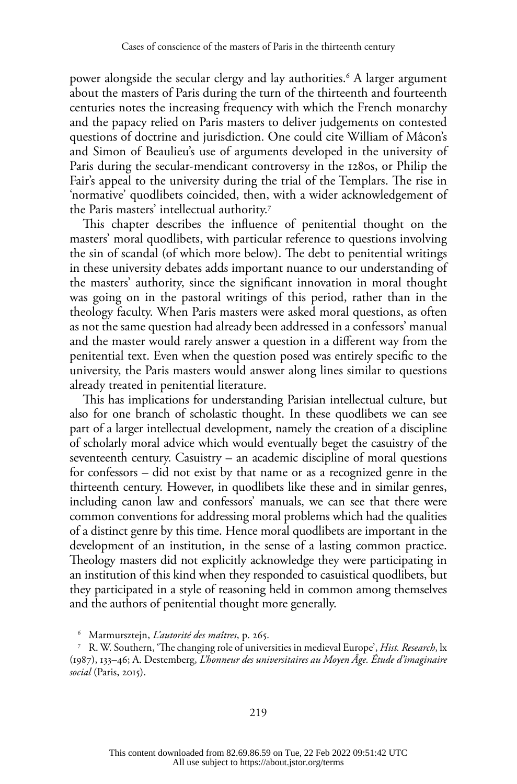power alongside the secular clergy and lay authorities.6 A larger argument about the masters of Paris during the turn of the thirteenth and fourteenth centuries notes the increasing frequency with which the French monarchy and the papacy relied on Paris masters to deliver judgements on contested questions of doctrine and jurisdiction. One could cite William of Mâcon's and Simon of Beaulieu's use of arguments developed in the university of Paris during the secular-mendicant controversy in the 1280s, or Philip the Fair's appeal to the university during the trial of the Templars. The rise in 'normative' quodlibets coincided, then, with a wider acknowledgement of the Paris masters' intellectual authority.7

This chapter describes the influence of penitential thought on the masters' moral quodlibets, with particular reference to questions involving the sin of scandal (of which more below). The debt to penitential writings in these university debates adds important nuance to our understanding of the masters' authority, since the significant innovation in moral thought was going on in the pastoral writings of this period, rather than in the theology faculty. When Paris masters were asked moral questions, as often as not the same question had already been addressed in a confessors' manual and the master would rarely answer a question in a different way from the penitential text. Even when the question posed was entirely specific to the university, the Paris masters would answer along lines similar to questions already treated in penitential literature.

This has implications for understanding Parisian intellectual culture, but also for one branch of scholastic thought. In these quodlibets we can see part of a larger intellectual development, namely the creation of a discipline of scholarly moral advice which would eventually beget the casuistry of the seventeenth century. Casuistry – an academic discipline of moral questions for confessors – did not exist by that name or as a recognized genre in the thirteenth century. However, in quodlibets like these and in similar genres, including canon law and confessors' manuals, we can see that there were common conventions for addressing moral problems which had the qualities of a distinct genre by this time. Hence moral quodlibets are important in the development of an institution, in the sense of a lasting common practice. Theology masters did not explicitly acknowledge they were participating in an institution of this kind when they responded to casuistical quodlibets, but they participated in a style of reasoning held in common among themselves and the authors of penitential thought more generally.

<sup>6</sup> Marmursztejn, *L'autorité des maîtres*, p. 265.

<sup>7</sup> R. W. Southern, 'The changing role of universities in medieval Europe', *Hist. Research*, lx (1987), 133–46; A. Destemberg, *L'honneur des universitaires au Moyen Âge. Étude d'imaginaire social* (Paris, 2015).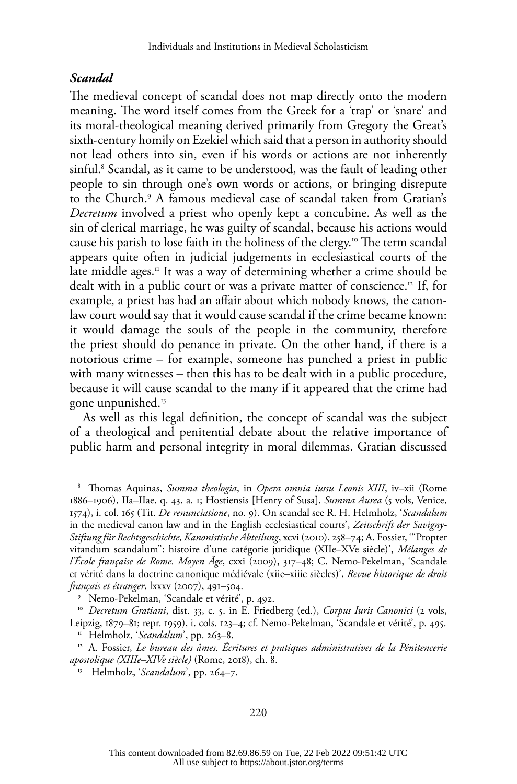### *Scandal*

The medieval concept of scandal does not map directly onto the modern meaning. The word itself comes from the Greek for a 'trap' or 'snare' and its moral-theological meaning derived primarily from Gregory the Great's sixth-century homily on Ezekiel which said that a person in authority should not lead others into sin, even if his words or actions are not inherently sinful.8 Scandal, as it came to be understood, was the fault of leading other people to sin through one's own words or actions, or bringing disrepute to the Church.9 A famous medieval case of scandal taken from Gratian's *Decretum* involved a priest who openly kept a concubine. As well as the sin of clerical marriage, he was guilty of scandal, because his actions would cause his parish to lose faith in the holiness of the clergy.<sup>10</sup> The term scandal appears quite often in judicial judgements in ecclesiastical courts of the late middle ages.<sup> $\pi$ </sup> It was a way of determining whether a crime should be dealt with in a public court or was a private matter of conscience.12 If, for example, a priest has had an affair about which nobody knows, the canonlaw court would say that it would cause scandal if the crime became known: it would damage the souls of the people in the community, therefore the priest should do penance in private. On the other hand, if there is a notorious crime – for example, someone has punched a priest in public with many witnesses – then this has to be dealt with in a public procedure, because it will cause scandal to the many if it appeared that the crime had gone unpunished.13

As well as this legal definition, the concept of scandal was the subject of a theological and penitential debate about the relative importance of public harm and personal integrity in moral dilemmas. Gratian discussed

<sup>8</sup> Thomas Aquinas, *Summa theologia*, in *Opera omnia iussu Leonis XIII*, iv–xii (Rome 1886–1906), IIa–IIae, q. 43, a. 1; Hostiensis [Henry of Susa], *Summa Aurea* (5 vols, Venice, 1574), i. col. 165 (Tit. *De renunciatione*, no. 9). On scandal see R. H. Helmholz, '*Scandalum* in the medieval canon law and in the English ecclesiastical courts', *Zeitschrift der Savigny-Stiftung für Rechtsgeschichte, Kanonistische Abteilung*, xcvi (2010), 258–74; A. Fossier, '"Propter vitandum scandalum": histoire d'une catégorie juridique (XIIe–XVe siècle)', *Mélanges de l'École française de Rome. Moyen Âge*, cxxi (2009), 317–48; C. Nemo-Pekelman, 'Scandale et vérité dans la doctrine canonique médiévale (xiie–xiiie siècles)', *Revue historique de droit français et étranger*, lxxxv (2007), 491–504.

<sup>10</sup> Decretum Gratiani, dist. 33, c. 5. in E. Friedberg (ed.), *Corpus Iuris Canonici* (2 vols, Leipzig, 1879–81; repr. 1959), i. cols. 123–4; cf. Nemo-Pekelman, 'Scandale et vérité', p. 495.

<sup>11</sup> Helmholz, '*Scandalum*', pp. 263–8.

<sup>12</sup> A. Fossier, *Le bureau des âmes. Écritures et pratiques administratives de la Pénitencerie apostolique (XIIIe–XIVe siècle)* (Rome, 2018), ch. 8. 13 Helmholz, '*Scandalum*', pp. 264–7.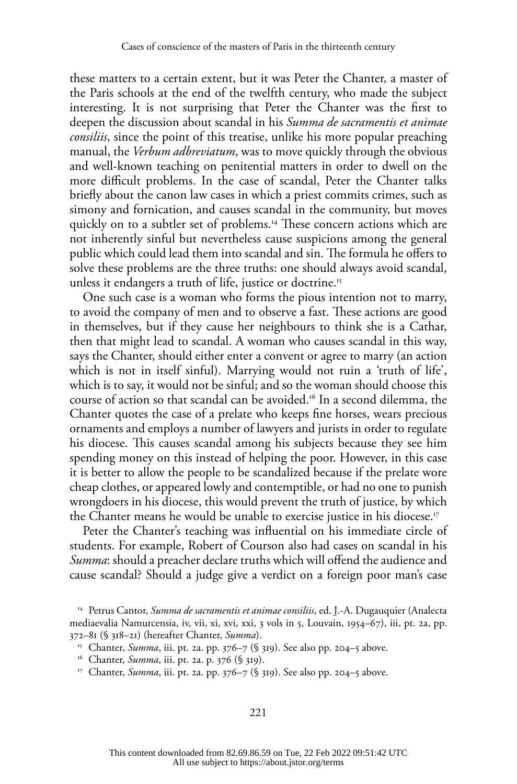these matters to a certain extent, but it was Peter the Chanter, a master of the Paris schools at the end of the twelfth century, who made the subject interesting. It is not surprising that Peter the Chanter was the first to deepen the discussion about scandal in his *Summa de sacramentis et animae consiliis*, since the point of this treatise, unlike his more popular preaching manual, the *Verbum adbreviatum*, was to move quickly through the obvious and well-known teaching on penitential matters in order to dwell on the more difficult problems. In the case of scandal, Peter the Chanter talks briefly about the canon law cases in which a priest commits crimes, such as simony and fornication, and causes scandal in the community, but moves quickly on to a subtler set of problems.<sup>14</sup> These concern actions which are not inherently sinful but nevertheless cause suspicions among the general public which could lead them into scandal and sin. The formula he offers to solve these problems are the three truths: one should always avoid scandal, unless it endangers a truth of life, justice or doctrine.<sup>15</sup>

One such case is a woman who forms the pious intention not to marry, to avoid the company of men and to observe a fast. These actions are good in themselves, but if they cause her neighbours to think she is a Cathar, then that might lead to scandal. A woman who causes scandal in this way, says the Chanter, should either enter a convent or agree to marry (an action which is not in itself sinful). Marrying would not ruin a 'truth of life', which is to say, it would not be sinful; and so the woman should choose this course of action so that scandal can be avoided.16 In a second dilemma, the Chanter quotes the case of a prelate who keeps fine horses, wears precious ornaments and employs a number of lawyers and jurists in order to regulate his diocese. This causes scandal among his subjects because they see him spending money on this instead of helping the poor. However, in this case it is better to allow the people to be scandalized because if the prelate wore cheap clothes, or appeared lowly and contemptible, or had no one to punish wrongdoers in his diocese, this would prevent the truth of justice, by which the Chanter means he would be unable to exercise justice in his diocese.17

Peter the Chanter's teaching was influential on his immediate circle of students. For example, Robert of Courson also had cases on scandal in his *Summa*: should a preacher declare truths which will offend the audience and cause scandal? Should a judge give a verdict on a foreign poor man's case

- <sup>16</sup> Chanter, *Summa*, iii. pt. 2a. p. 376 (§ 319).
- <sup>17</sup> Chanter, *Summa*, iii. pt. 2a. pp. 376–7 (§ 319). See also pp. 204–5 above.

<sup>14</sup> Petrus Cantor, *Summa de sacramentis et animae consiliis*, ed. J.-A. Dugauquier (Analecta mediaevalia Namurcensia, iv, vii, xi, xvi, xxi, 3 vols in 5, Louvain, 1954–67), iii, pt. 2a, pp. 372–81 (§ 318–21) (hereafter Chanter, *Summa*).

<sup>&</sup>lt;sup>15</sup> Chanter, *Summa*, iii. pt. 2a. pp. 376–7 (§ 319). See also pp. 204–5 above.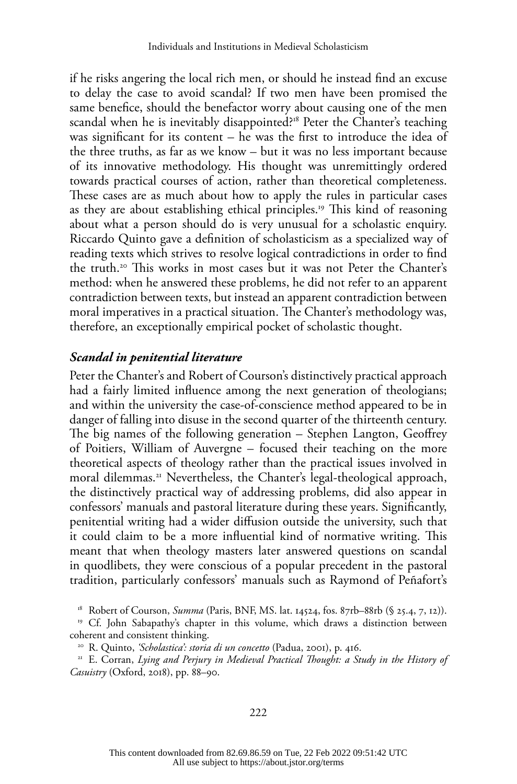if he risks angering the local rich men, or should he instead find an excuse to delay the case to avoid scandal? If two men have been promised the same benefice, should the benefactor worry about causing one of the men scandal when he is inevitably disappointed?<sup>18</sup> Peter the Chanter's teaching was significant for its content – he was the first to introduce the idea of the three truths, as far as we know – but it was no less important because of its innovative methodology. His thought was unremittingly ordered towards practical courses of action, rather than theoretical completeness. These cases are as much about how to apply the rules in particular cases as they are about establishing ethical principles.19 This kind of reasoning about what a person should do is very unusual for a scholastic enquiry. Riccardo Quinto gave a definition of scholasticism as a specialized way of reading texts which strives to resolve logical contradictions in order to find the truth.20 This works in most cases but it was not Peter the Chanter's method: when he answered these problems, he did not refer to an apparent contradiction between texts, but instead an apparent contradiction between moral imperatives in a practical situation. The Chanter's methodology was, therefore, an exceptionally empirical pocket of scholastic thought.

#### *Scandal in penitential literature*

Peter the Chanter's and Robert of Courson's distinctively practical approach had a fairly limited influence among the next generation of theologians; and within the university the case-of-conscience method appeared to be in danger of falling into disuse in the second quarter of the thirteenth century. The big names of the following generation – Stephen Langton, Geoffrey of Poitiers, William of Auvergne – focused their teaching on the more theoretical aspects of theology rather than the practical issues involved in moral dilemmas.<sup>21</sup> Nevertheless, the Chanter's legal-theological approach, the distinctively practical way of addressing problems, did also appear in confessors' manuals and pastoral literature during these years. Significantly, penitential writing had a wider diffusion outside the university, such that it could claim to be a more influential kind of normative writing. This meant that when theology masters later answered questions on scandal in quodlibets, they were conscious of a popular precedent in the pastoral tradition, particularly confessors' manuals such as Raymond of Peñafort's

<sup>18</sup> Robert of Courson, *Summa* (Paris, BNF, MS. lat. 14524, fos. 87rb–88rb (§ 25.4, 7, 12)).

<sup>19</sup> Cf. John Sabapathy's chapter in this volume, which draws a distinction between coherent and consistent thinking.

<sup>20</sup> R. Quinto, *'Scholastica': storia di un concetto* (Padua, 2001), p. 416.

<sup>21</sup> E. Corran, *Lying and Perjury in Medieval Practical Thought: a Study in the History of Casuistry* (Oxford, 2018), pp. 88–90.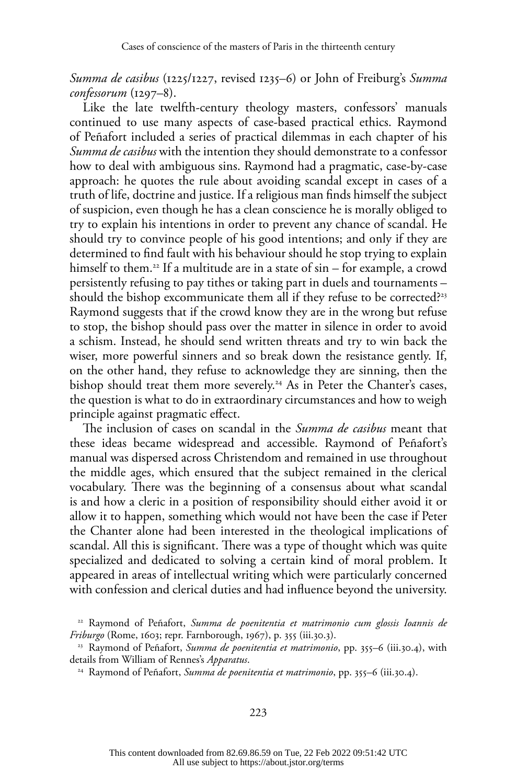*Summa de casibus* (1225/1227, revised 1235–6) or John of Freiburg's *Summa confessorum* (1297–8).

Like the late twelfth-century theology masters, confessors' manuals continued to use many aspects of case-based practical ethics. Raymond of Peñafort included a series of practical dilemmas in each chapter of his *Summa de casibus* with the intention they should demonstrate to a confessor how to deal with ambiguous sins. Raymond had a pragmatic, case-by-case approach: he quotes the rule about avoiding scandal except in cases of a truth of life, doctrine and justice. If a religious man finds himself the subject of suspicion, even though he has a clean conscience he is morally obliged to try to explain his intentions in order to prevent any chance of scandal. He should try to convince people of his good intentions; and only if they are determined to find fault with his behaviour should he stop trying to explain himself to them.<sup>22</sup> If a multitude are in a state of sin – for example, a crowd persistently refusing to pay tithes or taking part in duels and tournaments – should the bishop excommunicate them all if they refuse to be corrected?<sup>23</sup> Raymond suggests that if the crowd know they are in the wrong but refuse to stop, the bishop should pass over the matter in silence in order to avoid a schism. Instead, he should send written threats and try to win back the wiser, more powerful sinners and so break down the resistance gently. If, on the other hand, they refuse to acknowledge they are sinning, then the bishop should treat them more severely.<sup>24</sup> As in Peter the Chanter's cases, the question is what to do in extraordinary circumstances and how to weigh principle against pragmatic effect.

The inclusion of cases on scandal in the *Summa de casibus* meant that these ideas became widespread and accessible. Raymond of Peñafort's manual was dispersed across Christendom and remained in use throughout the middle ages, which ensured that the subject remained in the clerical vocabulary. There was the beginning of a consensus about what scandal is and how a cleric in a position of responsibility should either avoid it or allow it to happen, something which would not have been the case if Peter the Chanter alone had been interested in the theological implications of scandal. All this is significant. There was a type of thought which was quite specialized and dedicated to solving a certain kind of moral problem. It appeared in areas of intellectual writing which were particularly concerned with confession and clerical duties and had influence beyond the university.

<sup>22</sup> Raymond of Peñafort, *Summa de poenitentia et matrimonio cum glossis Ioannis de Friburgo* (Rome, 1603; repr. Farnborough, 1967), p. 355 (iii.30.3).

<sup>23</sup> Raymond of Peñafort, *Summa de poenitentia et matrimonio*, pp. 355–6 (iii.30.4), with details from William of Rennes's *Apparatus*.

<sup>24</sup> Raymond of Peñafort, *Summa de poenitentia et matrimonio*, pp. 355–6 (iii.30.4).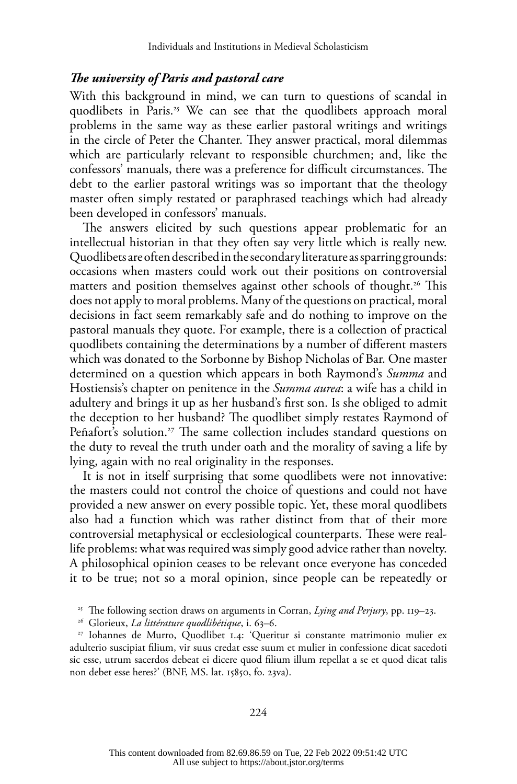#### *The university of Paris and pastoral care*

With this background in mind, we can turn to questions of scandal in quodlibets in Paris.<sup>25</sup> We can see that the quodlibets approach moral problems in the same way as these earlier pastoral writings and writings in the circle of Peter the Chanter. They answer practical, moral dilemmas which are particularly relevant to responsible churchmen; and, like the confessors' manuals, there was a preference for difficult circumstances. The debt to the earlier pastoral writings was so important that the theology master often simply restated or paraphrased teachings which had already been developed in confessors' manuals.

The answers elicited by such questions appear problematic for an intellectual historian in that they often say very little which is really new. Quodlibets are often described in the secondary literature as sparring grounds: occasions when masters could work out their positions on controversial matters and position themselves against other schools of thought.<sup>26</sup> This does not apply to moral problems. Many of the questions on practical, moral decisions in fact seem remarkably safe and do nothing to improve on the pastoral manuals they quote. For example, there is a collection of practical quodlibets containing the determinations by a number of different masters which was donated to the Sorbonne by Bishop Nicholas of Bar. One master determined on a question which appears in both Raymond's *Summa* and Hostiensis's chapter on penitence in the *Summa aurea*: a wife has a child in adultery and brings it up as her husband's first son. Is she obliged to admit the deception to her husband? The quodlibet simply restates Raymond of Peñafort's solution.<sup>27</sup> The same collection includes standard questions on the duty to reveal the truth under oath and the morality of saving a life by lying, again with no real originality in the responses.

It is not in itself surprising that some quodlibets were not innovative: the masters could not control the choice of questions and could not have provided a new answer on every possible topic. Yet, these moral quodlibets also had a function which was rather distinct from that of their more controversial metaphysical or ecclesiological counterparts. These were reallife problems: what was required was simply good advice rather than novelty. A philosophical opinion ceases to be relevant once everyone has conceded it to be true; not so a moral opinion, since people can be repeatedly or

<sup>25</sup> The following section draws on arguments in Corran, *Lying and Perjury*, pp. 119–23.

<sup>26</sup> Glorieux, *La littérature quodlibétique*, i. 63–6.

<sup>27</sup> Iohannes de Murro, Quodlibet 1.4: 'Queritur si constante matrimonio mulier ex adulterio suscipiat filium, vir suus credat esse suum et mulier in confessione dicat sacedoti sic esse, utrum sacerdos debeat ei dicere quod filium illum repellat a se et quod dicat talis non debet esse heres?' (BNF, MS. lat. 15850, fo. 23va).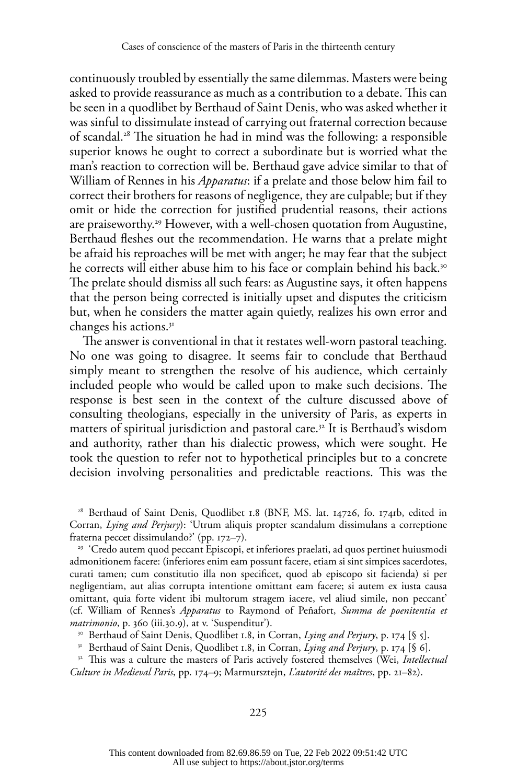continuously troubled by essentially the same dilemmas. Masters were being asked to provide reassurance as much as a contribution to a debate. This can be seen in a quodlibet by Berthaud of Saint Denis, who was asked whether it was sinful to dissimulate instead of carrying out fraternal correction because of scandal.28 The situation he had in mind was the following: a responsible superior knows he ought to correct a subordinate but is worried what the man's reaction to correction will be. Berthaud gave advice similar to that of William of Rennes in his *Apparatus*: if a prelate and those below him fail to correct their brothers for reasons of negligence, they are culpable; but if they omit or hide the correction for justified prudential reasons, their actions are praiseworthy.<sup>29</sup> However, with a well-chosen quotation from Augustine, Berthaud fleshes out the recommendation. He warns that a prelate might be afraid his reproaches will be met with anger; he may fear that the subject he corrects will either abuse him to his face or complain behind his back.<sup>30</sup> The prelate should dismiss all such fears: as Augustine says, it often happens that the person being corrected is initially upset and disputes the criticism but, when he considers the matter again quietly, realizes his own error and changes his actions.31

The answer is conventional in that it restates well-worn pastoral teaching. No one was going to disagree. It seems fair to conclude that Berthaud simply meant to strengthen the resolve of his audience, which certainly included people who would be called upon to make such decisions. The response is best seen in the context of the culture discussed above of consulting theologians, especially in the university of Paris, as experts in matters of spiritual jurisdiction and pastoral care.<sup>32</sup> It is Berthaud's wisdom and authority, rather than his dialectic prowess, which were sought. He took the question to refer not to hypothetical principles but to a concrete decision involving personalities and predictable reactions. This was the

<sup>28</sup> Berthaud of Saint Denis, Quodlibet 1.8 (BNF, MS. lat. 14726, fo. 174rb, edited in Corran, *Lying and Perjury*): 'Utrum aliquis propter scandalum dissimulans a correptione fraterna peccet dissimulando?' (pp. 172–7).

<sup>29</sup> 'Credo autem quod peccant Episcopi, et inferiores praelati, ad quos pertinet huiusmodi admonitionem facere: (inferiores enim eam possunt facere, etiam si sint simpices sacerdotes, curati tamen; cum constitutio illa non specificet, quod ab episcopo sit facienda) si per negligentiam, aut alias corrupta intentione omittant eam facere; si autem ex iusta causa omittant, quia forte vident ibi multorum stragem iacere, vel aliud simile, non peccant' (cf. William of Rennes's *Apparatus* to Raymond of Peñafort, *Summa de poenitentia et matrimonio*, p. 360 (iii.30.9), at v. 'Suspenditur').

<sup>30</sup> Berthaud of Saint Denis, Quodlibet 1.8, in Corran, *Lying and Perjury*, p. 174 [§ 5].

<sup>31</sup> Berthaud of Saint Denis, Quodlibet 1.8, in Corran, *Lying and Perjury*, p. 174 [§ 6].<br><sup>32</sup> This was a culture the masters of Paris actively fostered themselves (Wei, *Intellectual* 

*Culture in Medieval Paris*, pp. 174–9; Marmursztejn, *L'autorité des maîtres*, pp. 21–82).

225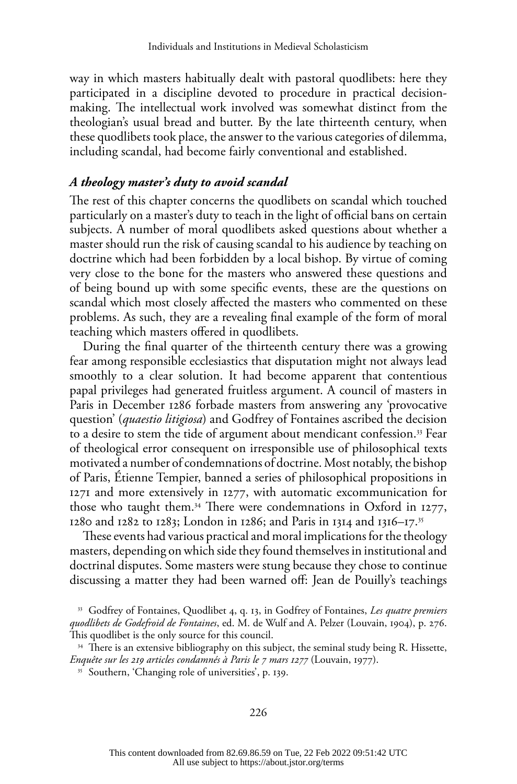way in which masters habitually dealt with pastoral quodlibets: here they participated in a discipline devoted to procedure in practical decisionmaking. The intellectual work involved was somewhat distinct from the theologian's usual bread and butter. By the late thirteenth century, when these quodlibets took place, the answer to the various categories of dilemma, including scandal, had become fairly conventional and established.

## *A theology master's duty to avoid scandal*

The rest of this chapter concerns the quodlibets on scandal which touched particularly on a master's duty to teach in the light of official bans on certain subjects. A number of moral quodlibets asked questions about whether a master should run the risk of causing scandal to his audience by teaching on doctrine which had been forbidden by a local bishop. By virtue of coming very close to the bone for the masters who answered these questions and of being bound up with some specific events, these are the questions on scandal which most closely affected the masters who commented on these problems. As such, they are a revealing final example of the form of moral teaching which masters offered in quodlibets.

During the final quarter of the thirteenth century there was a growing fear among responsible ecclesiastics that disputation might not always lead smoothly to a clear solution. It had become apparent that contentious papal privileges had generated fruitless argument. A council of masters in Paris in December 1286 forbade masters from answering any 'provocative question' (*quaestio litigiosa*) and Godfrey of Fontaines ascribed the decision to a desire to stem the tide of argument about mendicant confession.33 Fear of theological error consequent on irresponsible use of philosophical texts motivated a number of condemnations of doctrine. Most notably, the bishop of Paris, Étienne Tempier, banned a series of philosophical propositions in 1271 and more extensively in 1277, with automatic excommunication for those who taught them.34 There were condemnations in Oxford in 1277, 1280 and 1282 to 1283; London in 1286; and Paris in 1314 and 1316–17.35

These events had various practical and moral implications for the theology masters, depending on which side they found themselves in institutional and doctrinal disputes. Some masters were stung because they chose to continue discussing a matter they had been warned off: Jean de Pouilly's teachings

<sup>33</sup> Godfrey of Fontaines, Quodlibet 4, q. 13, in Godfrey of Fontaines, *Les quatre premiers quodlibets de Godefroid de Fontaines*, ed. M. de Wulf and A. Pelzer (Louvain, 1904), p. 276. This quodlibet is the only source for this council.

<sup>&</sup>lt;sup>34</sup> There is an extensive bibliography on this subject, the seminal study being R. Hissette, *Enquête sur les 219 articles condamnés à Paris le 7 mars 1277* (Louvain, 1977).<br><sup>35</sup> Southern, 'Changing role of universities', p. 139.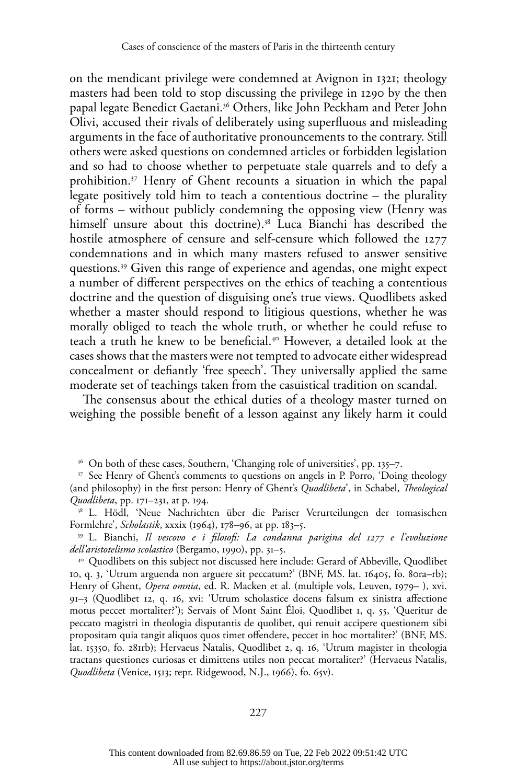on the mendicant privilege were condemned at Avignon in 1321; theology masters had been told to stop discussing the privilege in 1290 by the then papal legate Benedict Gaetani.36 Others, like John Peckham and Peter John Olivi, accused their rivals of deliberately using superfluous and misleading arguments in the face of authoritative pronouncements to the contrary. Still others were asked questions on condemned articles or forbidden legislation and so had to choose whether to perpetuate stale quarrels and to defy a prohibition.<sup>37</sup> Henry of Ghent recounts a situation in which the papal legate positively told him to teach a contentious doctrine – the plurality of forms – without publicly condemning the opposing view (Henry was himself unsure about this doctrine).<sup>38</sup> Luca Bianchi has described the hostile atmosphere of censure and self-censure which followed the 1277 condemnations and in which many masters refused to answer sensitive questions.39 Given this range of experience and agendas, one might expect a number of different perspectives on the ethics of teaching a contentious doctrine and the question of disguising one's true views. Quodlibets asked whether a master should respond to litigious questions, whether he was morally obliged to teach the whole truth, or whether he could refuse to teach a truth he knew to be beneficial.<sup>40</sup> However, a detailed look at the cases shows that the masters were not tempted to advocate either widespread concealment or defiantly 'free speech'. They universally applied the same moderate set of teachings taken from the casuistical tradition on scandal.

The consensus about the ethical duties of a theology master turned on weighing the possible benefit of a lesson against any likely harm it could

<sup>36</sup> On both of these cases, Southern, 'Changing role of universities', pp. 135–7.

<sup>38</sup> L. Hödl, 'Neue Nachrichten über die Pariser Verurteilungen der tomasischen Formlehre', *Scholastik*, xxxix (1964), 178–96, at pp. 183–5.

<sup>39</sup> L. Bianchi, *Il vescovo e i filosofi: La condanna parigina del 1277 e l'evoluzione dell'aristotelismo scolastico* (Bergamo, 1990), pp. 31–5.

<sup>40</sup> Quodlibets on this subject not discussed here include: Gerard of Abbeville, Quodlibet 10, q. 3, 'Utrum arguenda non arguere sit peccatum?' (BNF, MS. lat. 16405, fo. 80ra–rb); Henry of Ghent, *Opera omnia*, ed. R. Macken et al. (multiple vols, Leuven, 1979– ), xvi. 91–3 (Quodlibet 12, q. 16, xvi: 'Utrum scholastice docens falsum ex sinistra affectione motus peccet mortaliter?'); Servais of Mont Saint Éloi, Quodlibet 1, q. 55, 'Queritur de peccato magistri in theologia disputantis de quolibet, qui renuit accipere questionem sibi propositam quia tangit aliquos quos timet offendere, peccet in hoc mortaliter?' (BNF, MS. lat. 15350, fo. 281rb); Hervaeus Natalis, Quodlibet 2, q. 16, 'Utrum magister in theologia tractans questiones curiosas et dimittens utiles non peccat mortaliter?' (Hervaeus Natalis, *Quodlibeta* (Venice, 1513; repr. Ridgewood, N.J., 1966), fo. 65v).

<sup>&</sup>lt;sup>37</sup> See Henry of Ghent's comments to questions on angels in P. Porro, 'Doing theology (and philosophy) in the first person: Henry of Ghent's *Quodlibeta*', in Schabel, *Theological Quodlibeta*, pp. 171–231, at p. 194.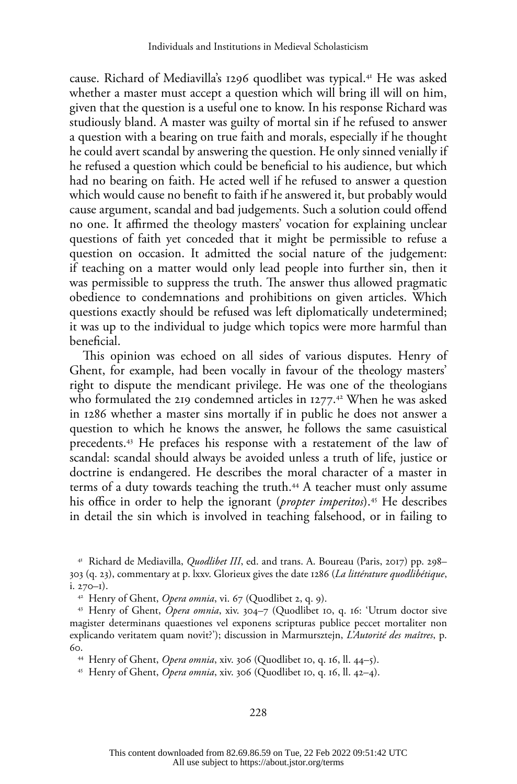cause. Richard of Mediavilla's 1296 quodlibet was typical.41 He was asked whether a master must accept a question which will bring ill will on him, given that the question is a useful one to know. In his response Richard was studiously bland. A master was guilty of mortal sin if he refused to answer a question with a bearing on true faith and morals, especially if he thought he could avert scandal by answering the question. He only sinned venially if he refused a question which could be beneficial to his audience, but which had no bearing on faith. He acted well if he refused to answer a question which would cause no benefit to faith if he answered it, but probably would cause argument, scandal and bad judgements. Such a solution could offend no one. It affirmed the theology masters' vocation for explaining unclear questions of faith yet conceded that it might be permissible to refuse a question on occasion. It admitted the social nature of the judgement: if teaching on a matter would only lead people into further sin, then it was permissible to suppress the truth. The answer thus allowed pragmatic obedience to condemnations and prohibitions on given articles. Which questions exactly should be refused was left diplomatically undetermined; it was up to the individual to judge which topics were more harmful than beneficial.

This opinion was echoed on all sides of various disputes. Henry of Ghent, for example, had been vocally in favour of the theology masters' right to dispute the mendicant privilege. He was one of the theologians who formulated the 219 condemned articles in  $1277$ .<sup>42</sup> When he was asked in 1286 whether a master sins mortally if in public he does not answer a question to which he knows the answer, he follows the same casuistical precedents.43 He prefaces his response with a restatement of the law of scandal: scandal should always be avoided unless a truth of life, justice or doctrine is endangered. He describes the moral character of a master in terms of a duty towards teaching the truth.<sup>44</sup> A teacher must only assume his office in order to help the ignorant (*propter imperitos*).<sup>45</sup> He describes in detail the sin which is involved in teaching falsehood, or in failing to

<sup>41</sup> Richard de Mediavilla, *Quodlibet III*, ed. and trans. A. Boureau (Paris, 2017) pp. 298– 303 (q. 23), commentary at p. lxxv. Glorieux gives the date 1286 (*La littérature quodlibétique*, i. 270–1).

<sup>44</sup> Henry of Ghent, *Opera omnia*, xiv. 306 (Quodlibet 10, q. 16, ll. 44–5).

<sup>45</sup> Henry of Ghent, *Opera omnia*, xiv. 306 (Quodlibet 10, q. 16, ll. 42–4).

<sup>42</sup> Henry of Ghent, *Opera omnia*, vi. 67 (Quodlibet 2, q. 9).

<sup>43</sup> Henry of Ghent, *Opera omnia*, xiv. 304–7 (Quodlibet 10, q. 16: 'Utrum doctor sive magister determinans quaestiones vel exponens scripturas publice peccet mortaliter non explicando veritatem quam novit?'); discussion in Marmursztejn, *L'Autorité des maîtres*, p. 60.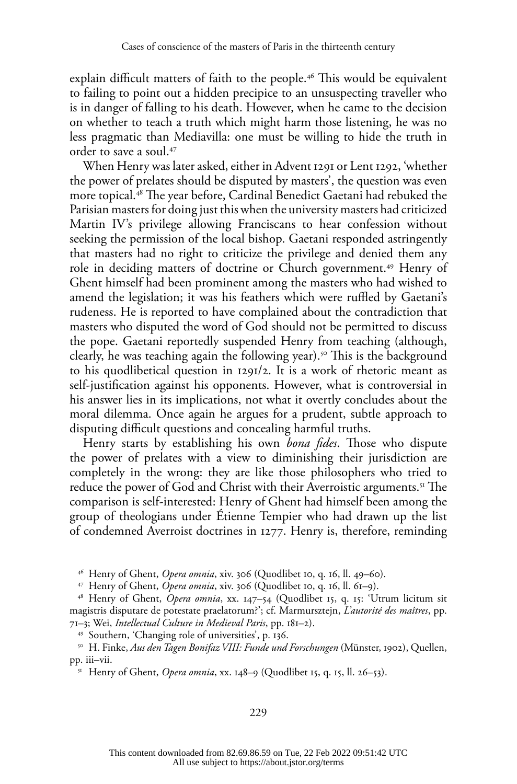explain difficult matters of faith to the people.<sup>46</sup> This would be equivalent to failing to point out a hidden precipice to an unsuspecting traveller who is in danger of falling to his death. However, when he came to the decision on whether to teach a truth which might harm those listening, he was no less pragmatic than Mediavilla: one must be willing to hide the truth in order to save a soul.47

When Henry was later asked, either in Advent 1291 or Lent 1292, 'whether the power of prelates should be disputed by masters', the question was even more topical.48 The year before, Cardinal Benedict Gaetani had rebuked the Parisian masters for doing just this when the university masters had criticized Martin IV's privilege allowing Franciscans to hear confession without seeking the permission of the local bishop. Gaetani responded astringently that masters had no right to criticize the privilege and denied them any role in deciding matters of doctrine or Church government.49 Henry of Ghent himself had been prominent among the masters who had wished to amend the legislation; it was his feathers which were ruffled by Gaetani's rudeness. He is reported to have complained about the contradiction that masters who disputed the word of God should not be permitted to discuss the pope. Gaetani reportedly suspended Henry from teaching (although, clearly, he was teaching again the following year).<sup>50</sup> This is the background to his quodlibetical question in 1291/2. It is a work of rhetoric meant as self-justification against his opponents. However, what is controversial in his answer lies in its implications, not what it overtly concludes about the moral dilemma. Once again he argues for a prudent, subtle approach to disputing difficult questions and concealing harmful truths.

Henry starts by establishing his own *bona fides*. Those who dispute the power of prelates with a view to diminishing their jurisdiction are completely in the wrong: they are like those philosophers who tried to reduce the power of God and Christ with their Averroistic arguments.<sup>51</sup> The comparison is self-interested: Henry of Ghent had himself been among the group of theologians under Étienne Tempier who had drawn up the list of condemned Averroist doctrines in 1277. Henry is, therefore, reminding

<sup>46</sup> Henry of Ghent, *Opera omnia*, xiv. 306 (Quodlibet 10, q. 16, ll. 49–60). 47 Henry of Ghent, *Opera omnia*, xiv. 306 (Quodlibet 10, q. 16, ll. 61–9).

<sup>48</sup> Henry of Ghent, *Opera omnia*, xx. 147–54 (Quodlibet 15, q. 15: 'Utrum licitum sit magistris disputare de potestate praelatorum?'; cf. Marmursztejn, *L'autorité des maîtres*, pp. 71–3; Wei, *Intellectual Culture in Medieval Paris*, pp. 181–2).

<sup>49</sup> Southern, 'Changing role of universities', p. 136.

<sup>50</sup> H. Finke, *Aus den Tagen Bonifaz VIII: Funde und Forschungen* (Münster, 1902), Quellen, pp. iii–vii.

<sup>51</sup> Henry of Ghent, *Opera omnia*, xx. 148–9 (Quodlibet 15, q. 15, ll. 26–53).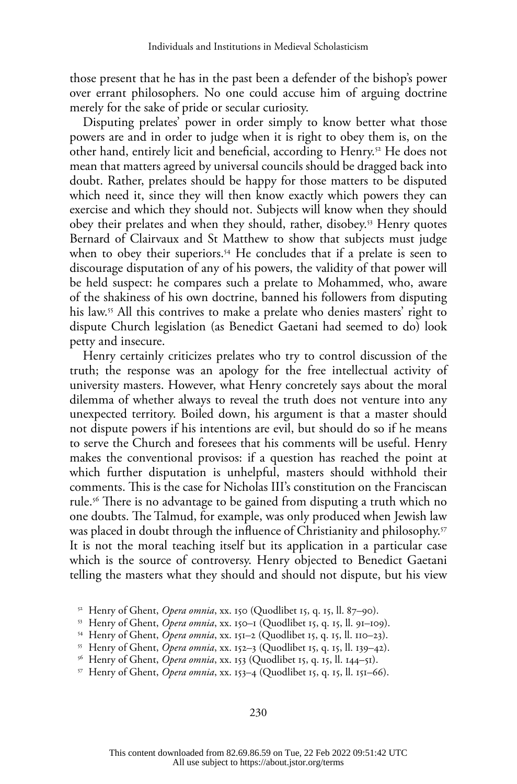those present that he has in the past been a defender of the bishop's power over errant philosophers. No one could accuse him of arguing doctrine merely for the sake of pride or secular curiosity.

Disputing prelates' power in order simply to know better what those powers are and in order to judge when it is right to obey them is, on the other hand, entirely licit and beneficial, according to Henry.<sup>52</sup> He does not mean that matters agreed by universal councils should be dragged back into doubt. Rather, prelates should be happy for those matters to be disputed which need it, since they will then know exactly which powers they can exercise and which they should not. Subjects will know when they should obey their prelates and when they should, rather, disobey.<sup>53</sup> Henry quotes Bernard of Clairvaux and St Matthew to show that subjects must judge when to obey their superiors.<sup>54</sup> He concludes that if a prelate is seen to discourage disputation of any of his powers, the validity of that power will be held suspect: he compares such a prelate to Mohammed, who, aware of the shakiness of his own doctrine, banned his followers from disputing his law.<sup>55</sup> All this contrives to make a prelate who denies masters' right to dispute Church legislation (as Benedict Gaetani had seemed to do) look petty and insecure.

Henry certainly criticizes prelates who try to control discussion of the truth; the response was an apology for the free intellectual activity of university masters. However, what Henry concretely says about the moral dilemma of whether always to reveal the truth does not venture into any unexpected territory. Boiled down, his argument is that a master should not dispute powers if his intentions are evil, but should do so if he means to serve the Church and foresees that his comments will be useful. Henry makes the conventional provisos: if a question has reached the point at which further disputation is unhelpful, masters should withhold their comments. This is the case for Nicholas III's constitution on the Franciscan rule.56 There is no advantage to be gained from disputing a truth which no one doubts. The Talmud, for example, was only produced when Jewish law was placed in doubt through the influence of Christianity and philosophy.<sup>57</sup> It is not the moral teaching itself but its application in a particular case which is the source of controversy. Henry objected to Benedict Gaetani telling the masters what they should and should not dispute, but his view

<sup>&</sup>lt;sup>52</sup> Henry of Ghent, *Opera omnia*, xx. 150 (Quodlibet 15, q. 15, ll. 87–90).

<sup>53</sup> Henry of Ghent, *Opera omnia*, xx. 150–1 (Quodlibet 15, q. 15, ll. 91–109).

<sup>&</sup>lt;sup>54</sup> Henry of Ghent, *Opera omnia*, xx. 151–2 (Quodlibet 15, q. 15, ll. 110–23).<br><sup>55</sup> Henry of Ghent, *Opera omnia*, xx. 152–3 (Quodlibet 15, q. 15, ll. 139–42).<br><sup>56</sup> Henry of Ghent, *Opera omnia*, xx. 153 (Quodlibet 15, q

<sup>57</sup> Henry of Ghent, *Opera omnia*, xx. 153–4 (Quodlibet 15, q. 15, ll. 151–66).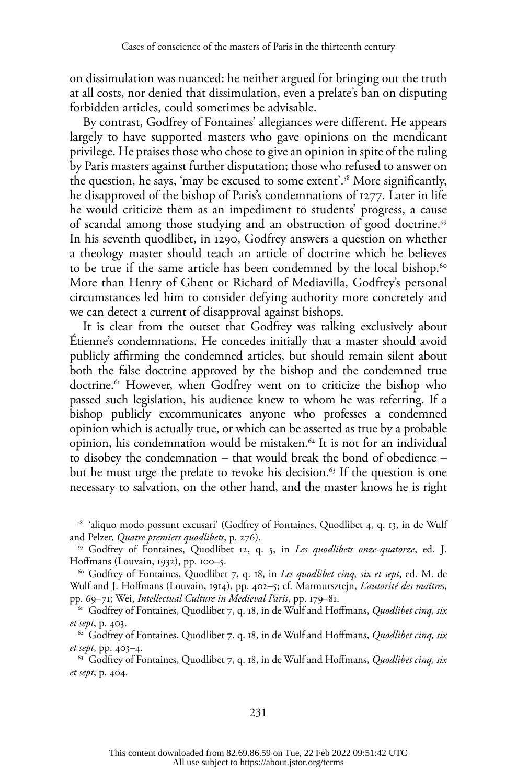on dissimulation was nuanced: he neither argued for bringing out the truth at all costs, nor denied that dissimulation, even a prelate's ban on disputing forbidden articles, could sometimes be advisable.

By contrast, Godfrey of Fontaines' allegiances were different. He appears largely to have supported masters who gave opinions on the mendicant privilege. He praises those who chose to give an opinion in spite of the ruling by Paris masters against further disputation; those who refused to answer on the question, he says, 'may be excused to some extent'.58 More significantly, he disapproved of the bishop of Paris's condemnations of 1277. Later in life he would criticize them as an impediment to students' progress, a cause of scandal among those studying and an obstruction of good doctrine.<sup>59</sup> In his seventh quodlibet, in 1290, Godfrey answers a question on whether a theology master should teach an article of doctrine which he believes to be true if the same article has been condemned by the local bishop.<sup>60</sup> More than Henry of Ghent or Richard of Mediavilla, Godfrey's personal circumstances led him to consider defying authority more concretely and we can detect a current of disapproval against bishops.

It is clear from the outset that Godfrey was talking exclusively about Étienne's condemnations. He concedes initially that a master should avoid publicly affirming the condemned articles, but should remain silent about both the false doctrine approved by the bishop and the condemned true doctrine.<sup>61</sup> However, when Godfrey went on to criticize the bishop who passed such legislation, his audience knew to whom he was referring. If a bishop publicly excommunicates anyone who professes a condemned opinion which is actually true, or which can be asserted as true by a probable opinion, his condemnation would be mistaken.<sup>62</sup> It is not for an individual to disobey the condemnation – that would break the bond of obedience – but he must urge the prelate to revoke his decision.<sup>63</sup> If the question is one necessary to salvation, on the other hand, and the master knows he is right

<sup>58</sup> 'aliquo modo possunt excusari' (Godfrey of Fontaines, Quodlibet 4, q. 13, in de Wulf and Pelzer, *Quatre premiers quodlibets*, p. 276).

<sup>59</sup> Godfrey of Fontaines, Quodlibet 12, q. 5, in *Les quodlibets onze-quatorze*, ed. J. Hoffmans (Louvain, 1932), pp. 100–5.

<sup>60</sup> Godfrey of Fontaines, Quodlibet 7, q. 18, in *Les quodlibet cinq, six et sept*, ed. M. de Wulf and J. Hoffmans (Louvain, 1914), pp. 402–5; cf. Marmursztejn, *L'autorité des maîtres*, pp. 69–71; Wei, *Intellectual Culture in Medieval Paris*, pp. 179–81.

<sup>61</sup> Godfrey of Fontaines, Quodlibet 7, q. 18, in de Wulf and Hoffmans, *Quodlibet cinq, six et sept*, p. 403. 62 Godfrey of Fontaines, Quodlibet 7, q. 18, in de Wulf and Hoffmans, *Quodlibet cinq, six* 

*et sept*, pp. 403–4.

<sup>63</sup> Godfrey of Fontaines, Quodlibet 7, q. 18, in de Wulf and Hoffmans, *Quodlibet cinq, six et sept*, p. 404.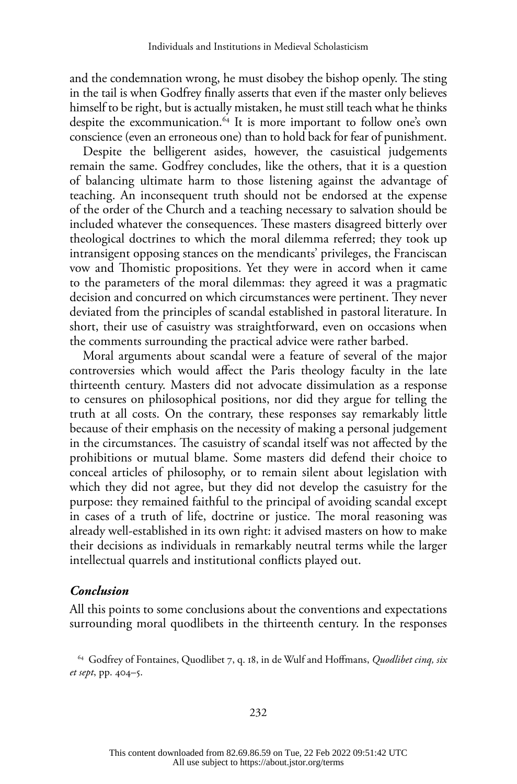and the condemnation wrong, he must disobey the bishop openly. The sting in the tail is when Godfrey finally asserts that even if the master only believes himself to be right, but is actually mistaken, he must still teach what he thinks despite the excommunication.<sup>64</sup> It is more important to follow one's own conscience (even an erroneous one) than to hold back for fear of punishment.

Despite the belligerent asides, however, the casuistical judgements remain the same. Godfrey concludes, like the others, that it is a question of balancing ultimate harm to those listening against the advantage of teaching. An inconsequent truth should not be endorsed at the expense of the order of the Church and a teaching necessary to salvation should be included whatever the consequences. These masters disagreed bitterly over theological doctrines to which the moral dilemma referred; they took up intransigent opposing stances on the mendicants' privileges, the Franciscan vow and Thomistic propositions. Yet they were in accord when it came to the parameters of the moral dilemmas: they agreed it was a pragmatic decision and concurred on which circumstances were pertinent. They never deviated from the principles of scandal established in pastoral literature. In short, their use of casuistry was straightforward, even on occasions when the comments surrounding the practical advice were rather barbed.

Moral arguments about scandal were a feature of several of the major controversies which would affect the Paris theology faculty in the late thirteenth century. Masters did not advocate dissimulation as a response to censures on philosophical positions, nor did they argue for telling the truth at all costs. On the contrary, these responses say remarkably little because of their emphasis on the necessity of making a personal judgement in the circumstances. The casuistry of scandal itself was not affected by the prohibitions or mutual blame. Some masters did defend their choice to conceal articles of philosophy, or to remain silent about legislation with which they did not agree, but they did not develop the casuistry for the purpose: they remained faithful to the principal of avoiding scandal except in cases of a truth of life, doctrine or justice. The moral reasoning was already well-established in its own right: it advised masters on how to make their decisions as individuals in remarkably neutral terms while the larger intellectual quarrels and institutional conflicts played out.

#### *Conclusion*

All this points to some conclusions about the conventions and expectations surrounding moral quodlibets in the thirteenth century. In the responses

<sup>64</sup> Godfrey of Fontaines, Quodlibet 7, q. 18, in de Wulf and Hoffmans, *Quodlibet cinq, six et sept*, pp. 404–5.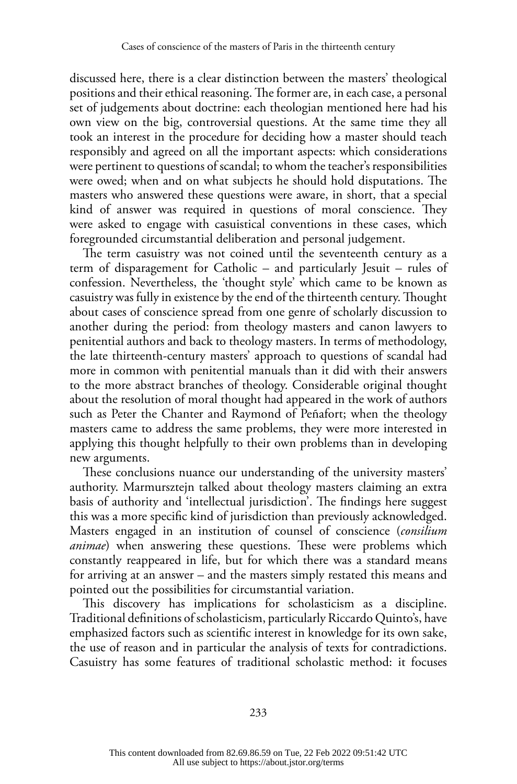discussed here, there is a clear distinction between the masters' theological positions and their ethical reasoning. The former are, in each case, a personal set of judgements about doctrine: each theologian mentioned here had his own view on the big, controversial questions. At the same time they all took an interest in the procedure for deciding how a master should teach responsibly and agreed on all the important aspects: which considerations were pertinent to questions of scandal; to whom the teacher's responsibilities were owed; when and on what subjects he should hold disputations. The masters who answered these questions were aware, in short, that a special kind of answer was required in questions of moral conscience. They were asked to engage with casuistical conventions in these cases, which foregrounded circumstantial deliberation and personal judgement.

The term casuistry was not coined until the seventeenth century as a term of disparagement for Catholic – and particularly Jesuit – rules of confession. Nevertheless, the 'thought style' which came to be known as casuistry was fully in existence by the end of the thirteenth century. Thought about cases of conscience spread from one genre of scholarly discussion to another during the period: from theology masters and canon lawyers to penitential authors and back to theology masters. In terms of methodology, the late thirteenth-century masters' approach to questions of scandal had more in common with penitential manuals than it did with their answers to the more abstract branches of theology. Considerable original thought about the resolution of moral thought had appeared in the work of authors such as Peter the Chanter and Raymond of Peñafort; when the theology masters came to address the same problems, they were more interested in applying this thought helpfully to their own problems than in developing new arguments.

These conclusions nuance our understanding of the university masters' authority. Marmursztejn talked about theology masters claiming an extra basis of authority and 'intellectual jurisdiction'. The findings here suggest this was a more specific kind of jurisdiction than previously acknowledged. Masters engaged in an institution of counsel of conscience (*consilium animae*) when answering these questions. These were problems which constantly reappeared in life, but for which there was a standard means for arriving at an answer – and the masters simply restated this means and pointed out the possibilities for circumstantial variation.

This discovery has implications for scholasticism as a discipline. Traditional definitions of scholasticism, particularly Riccardo Quinto's, have emphasized factors such as scientific interest in knowledge for its own sake, the use of reason and in particular the analysis of texts for contradictions. Casuistry has some features of traditional scholastic method: it focuses